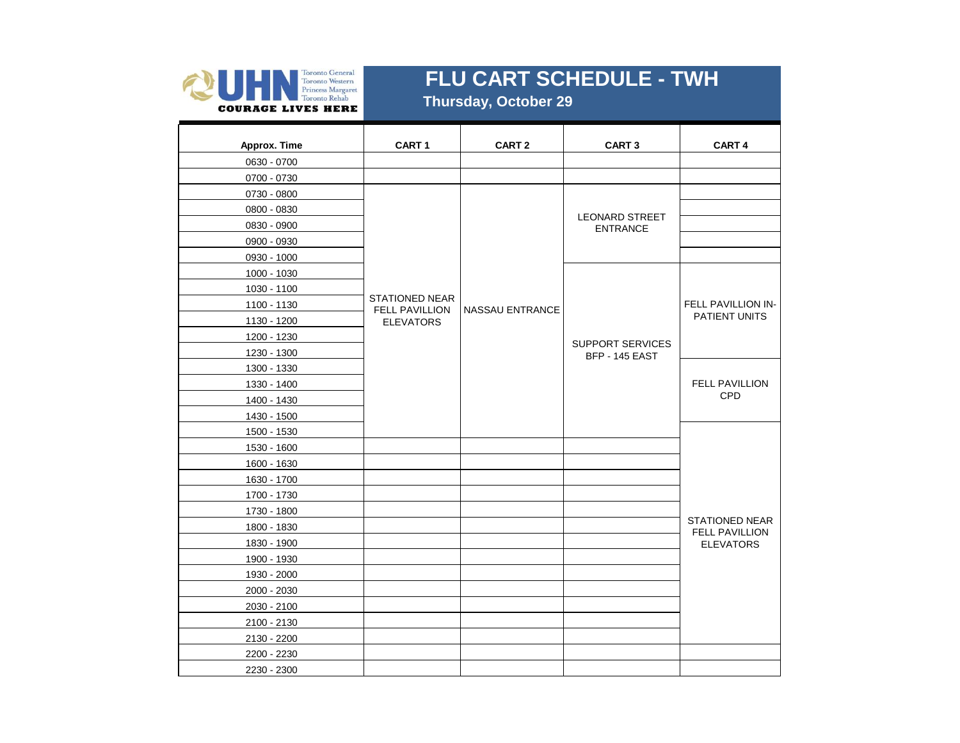

 **Thursday, October 29**

| Approx. Time | CART <sub>1</sub>                              | CART <sub>2</sub>      | <b>CART 3</b>                             | CART 4                                         |
|--------------|------------------------------------------------|------------------------|-------------------------------------------|------------------------------------------------|
| 0630 - 0700  |                                                |                        |                                           |                                                |
| 0700 - 0730  |                                                |                        |                                           |                                                |
| 0730 - 0800  |                                                |                        |                                           |                                                |
| 0800 - 0830  |                                                |                        |                                           |                                                |
| 0830 - 0900  |                                                |                        | <b>LEONARD STREET</b><br><b>ENTRANCE</b>  |                                                |
| 0900 - 0930  |                                                |                        |                                           |                                                |
| 0930 - 1000  |                                                |                        |                                           |                                                |
| 1000 - 1030  |                                                |                        |                                           |                                                |
| 1030 - 1100  |                                                |                        |                                           |                                                |
| 1100 - 1130  | <b>STATIONED NEAR</b><br><b>FELL PAVILLION</b> | <b>NASSAU ENTRANCE</b> |                                           | <b>FELL PAVILLION IN-</b>                      |
| 1130 - 1200  | <b>ELEVATORS</b>                               |                        |                                           | PATIENT UNITS                                  |
| 1200 - 1230  |                                                |                        |                                           |                                                |
| 1230 - 1300  |                                                |                        | <b>SUPPORT SERVICES</b><br>BFP - 145 EAST |                                                |
| 1300 - 1330  |                                                |                        |                                           |                                                |
| 1330 - 1400  |                                                |                        |                                           | <b>FELL PAVILLION</b>                          |
| 1400 - 1430  |                                                |                        |                                           | CPD                                            |
| 1430 - 1500  |                                                |                        |                                           |                                                |
| 1500 - 1530  |                                                |                        |                                           |                                                |
| 1530 - 1600  |                                                |                        |                                           |                                                |
| 1600 - 1630  |                                                |                        |                                           |                                                |
| 1630 - 1700  |                                                |                        |                                           |                                                |
| 1700 - 1730  |                                                |                        |                                           |                                                |
| 1730 - 1800  |                                                |                        |                                           |                                                |
| 1800 - 1830  |                                                |                        |                                           | <b>STATIONED NEAR</b><br><b>FELL PAVILLION</b> |
| 1830 - 1900  |                                                |                        |                                           | <b>ELEVATORS</b>                               |
| 1900 - 1930  |                                                |                        |                                           |                                                |
| 1930 - 2000  |                                                |                        |                                           |                                                |
| 2000 - 2030  |                                                |                        |                                           |                                                |
| 2030 - 2100  |                                                |                        |                                           |                                                |
| 2100 - 2130  |                                                |                        |                                           |                                                |
| 2130 - 2200  |                                                |                        |                                           |                                                |
| 2200 - 2230  |                                                |                        |                                           |                                                |
| 2230 - 2300  |                                                |                        |                                           |                                                |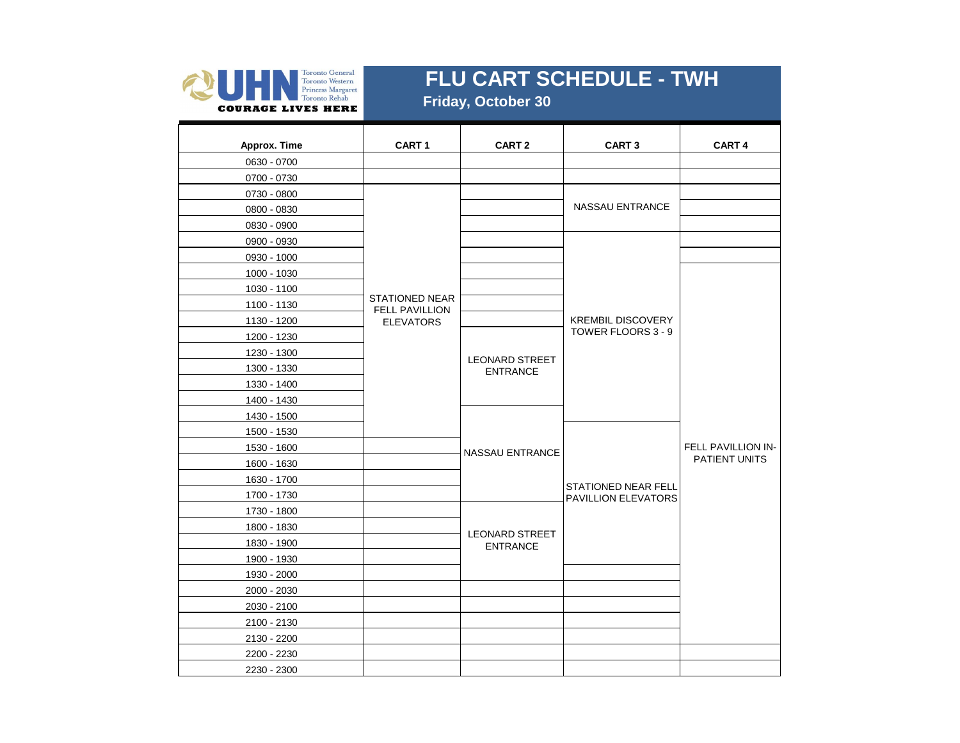

 **Friday, October 30**

| Approx. Time | CART <sub>1</sub>                              | CART <sub>2</sub>                        | <b>CART 3</b>                                     | <b>CART 4</b>             |
|--------------|------------------------------------------------|------------------------------------------|---------------------------------------------------|---------------------------|
| 0630 - 0700  |                                                |                                          |                                                   |                           |
| 0700 - 0730  |                                                |                                          |                                                   |                           |
| 0730 - 0800  |                                                |                                          |                                                   |                           |
| 0800 - 0830  |                                                |                                          | NASSAU ENTRANCE                                   |                           |
| 0830 - 0900  |                                                |                                          |                                                   |                           |
| 0900 - 0930  |                                                |                                          |                                                   |                           |
| 0930 - 1000  |                                                |                                          |                                                   |                           |
| 1000 - 1030  |                                                |                                          |                                                   |                           |
| 1030 - 1100  |                                                |                                          |                                                   |                           |
| 1100 - 1130  | <b>STATIONED NEAR</b><br><b>FELL PAVILLION</b> |                                          |                                                   |                           |
| 1130 - 1200  | <b>ELEVATORS</b>                               |                                          | <b>KREMBIL DISCOVERY</b>                          |                           |
| 1200 - 1230  |                                                |                                          | TOWER FLOORS 3 - 9                                |                           |
| 1230 - 1300  |                                                |                                          |                                                   |                           |
| 1300 - 1330  |                                                | <b>LEONARD STREET</b><br><b>ENTRANCE</b> |                                                   |                           |
| 1330 - 1400  |                                                |                                          |                                                   |                           |
| 1400 - 1430  |                                                |                                          |                                                   |                           |
| 1430 - 1500  |                                                |                                          |                                                   |                           |
| 1500 - 1530  |                                                |                                          |                                                   |                           |
| 1530 - 1600  |                                                | <b>NASSAU ENTRANCE</b>                   |                                                   | <b>FELL PAVILLION IN-</b> |
| 1600 - 1630  |                                                |                                          |                                                   | <b>PATIENT UNITS</b>      |
| 1630 - 1700  |                                                |                                          |                                                   |                           |
| 1700 - 1730  |                                                |                                          | <b>STATIONED NEAR FELL</b><br>PAVILLION ELEVATORS |                           |
| 1730 - 1800  |                                                |                                          |                                                   |                           |
| 1800 - 1830  |                                                |                                          |                                                   |                           |
| 1830 - 1900  |                                                | <b>LEONARD STREET</b><br><b>ENTRANCE</b> |                                                   |                           |
| 1900 - 1930  |                                                |                                          |                                                   |                           |
| 1930 - 2000  |                                                |                                          |                                                   |                           |
| 2000 - 2030  |                                                |                                          |                                                   |                           |
| 2030 - 2100  |                                                |                                          |                                                   |                           |
| 2100 - 2130  |                                                |                                          |                                                   |                           |
| 2130 - 2200  |                                                |                                          |                                                   |                           |
| 2200 - 2230  |                                                |                                          |                                                   |                           |
| 2230 - 2300  |                                                |                                          |                                                   |                           |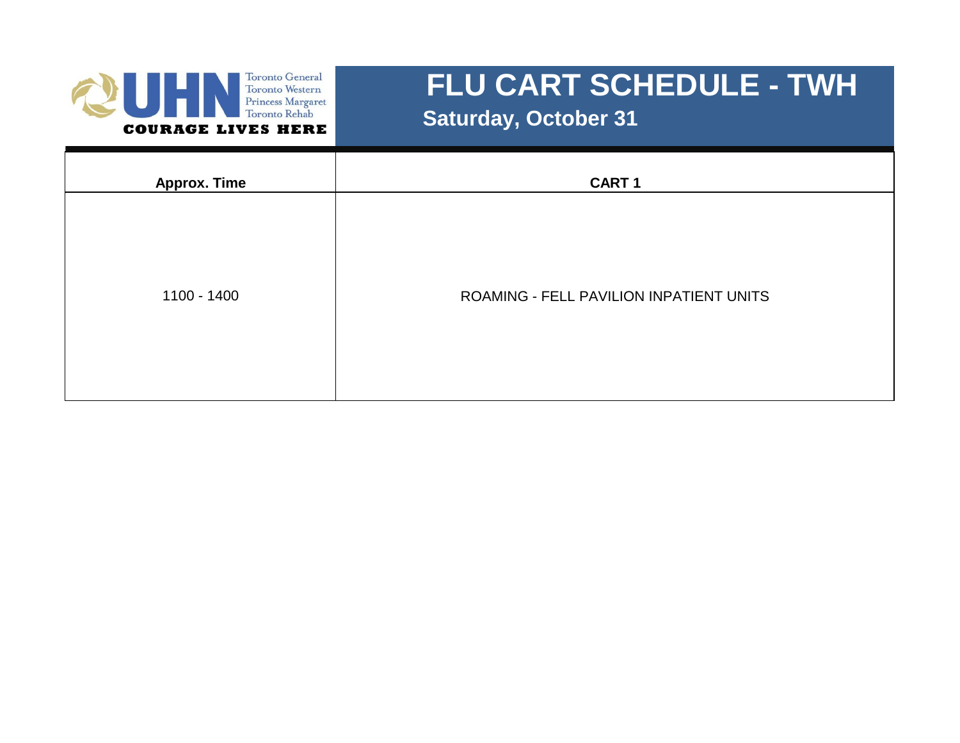

 **Saturday, October 31**

| <b>Approx. Time</b> | <b>CART1</b>                            |
|---------------------|-----------------------------------------|
| 1100 - 1400         | ROAMING - FELL PAVILION INPATIENT UNITS |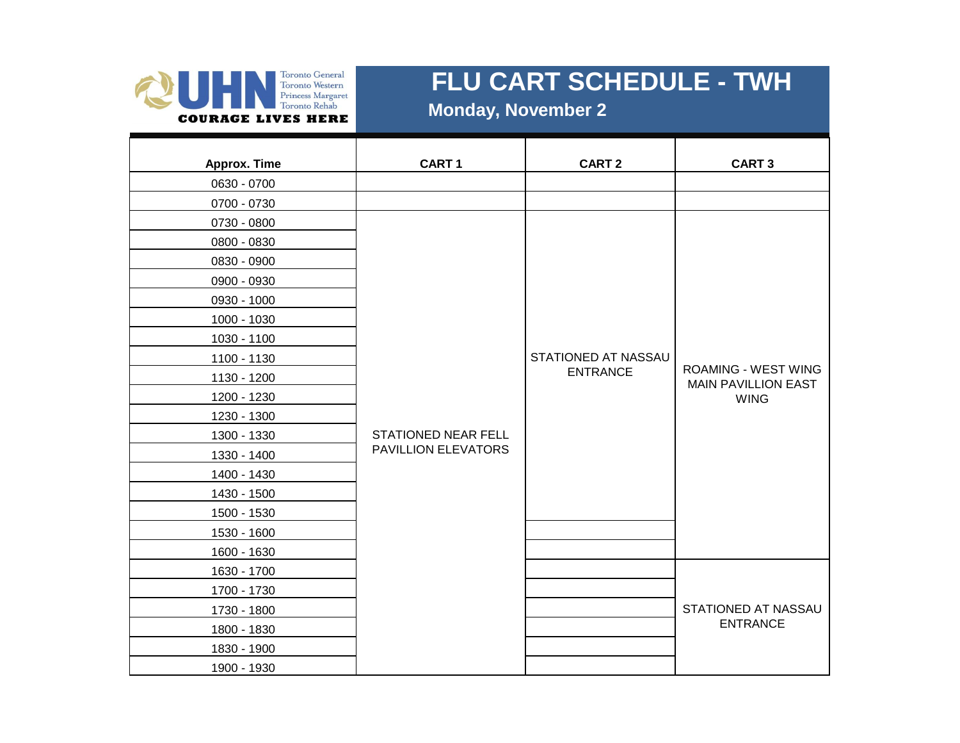

 **Monday, November 2**

| Approx. Time | <b>CART1</b>        | <b>CART 2</b>       | <b>CART 3</b>                                            |
|--------------|---------------------|---------------------|----------------------------------------------------------|
| 0630 - 0700  |                     |                     |                                                          |
| 0700 - 0730  |                     |                     |                                                          |
| 0730 - 0800  |                     |                     |                                                          |
| 0800 - 0830  |                     |                     |                                                          |
| 0830 - 0900  |                     |                     |                                                          |
| 0900 - 0930  |                     |                     |                                                          |
| 0930 - 1000  |                     |                     |                                                          |
| 1000 - 1030  |                     |                     |                                                          |
| 1030 - 1100  |                     |                     |                                                          |
| 1100 - 1130  |                     | STATIONED AT NASSAU |                                                          |
| 1130 - 1200  |                     | <b>ENTRANCE</b>     | <b>ROAMING - WEST WING</b><br><b>MAIN PAVILLION EAST</b> |
| 1200 - 1230  |                     |                     | <b>WING</b>                                              |
| 1230 - 1300  |                     |                     |                                                          |
| 1300 - 1330  | STATIONED NEAR FELL |                     |                                                          |
| 1330 - 1400  | PAVILLION ELEVATORS |                     |                                                          |
| 1400 - 1430  |                     |                     |                                                          |
| 1430 - 1500  |                     |                     |                                                          |
| 1500 - 1530  |                     |                     |                                                          |
| 1530 - 1600  |                     |                     |                                                          |
| 1600 - 1630  |                     |                     |                                                          |
| 1630 - 1700  |                     |                     |                                                          |
| 1700 - 1730  |                     |                     |                                                          |
| 1730 - 1800  |                     |                     | STATIONED AT NASSAU                                      |
| 1800 - 1830  |                     |                     | <b>ENTRANCE</b>                                          |
| 1830 - 1900  |                     |                     |                                                          |
| 1900 - 1930  |                     |                     |                                                          |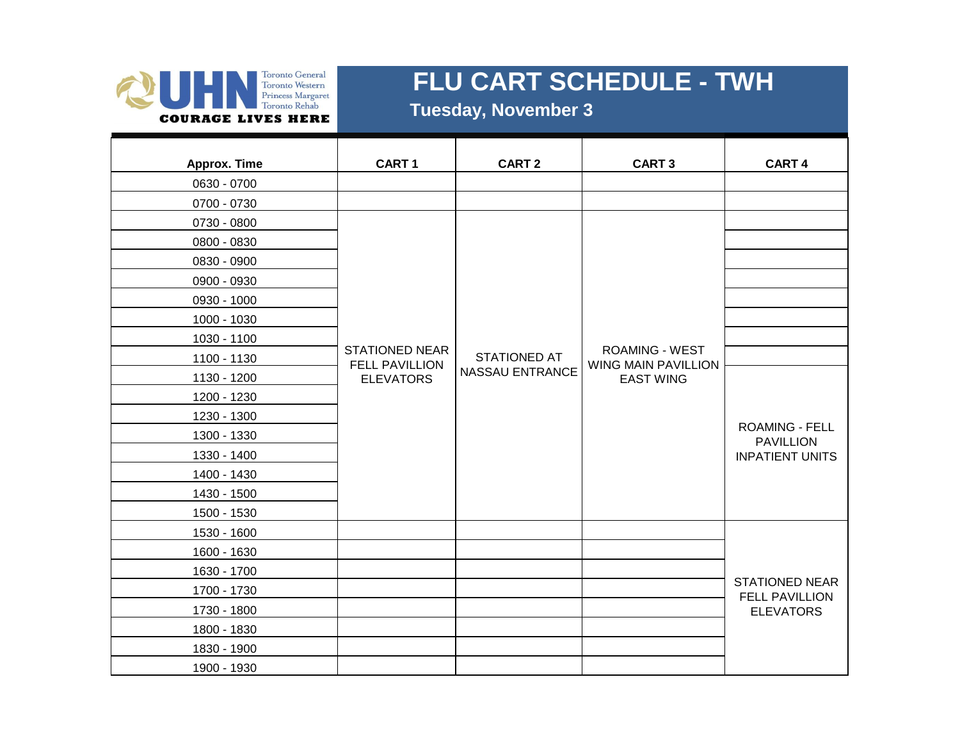

#### **Tuesday, November 3**

| Approx. Time | CART <sub>1</sub>                              | CART <sub>2</sub>      | <b>CART3</b>                                 | CART 4                                         |
|--------------|------------------------------------------------|------------------------|----------------------------------------------|------------------------------------------------|
| 0630 - 0700  |                                                |                        |                                              |                                                |
| 0700 - 0730  |                                                |                        |                                              |                                                |
| 0730 - 0800  |                                                |                        |                                              |                                                |
| 0800 - 0830  |                                                |                        |                                              |                                                |
| 0830 - 0900  |                                                |                        |                                              |                                                |
| 0900 - 0930  |                                                |                        |                                              |                                                |
| 0930 - 1000  |                                                |                        |                                              |                                                |
| 1000 - 1030  |                                                |                        |                                              |                                                |
| 1030 - 1100  |                                                |                        |                                              |                                                |
| 1100 - 1130  | <b>STATIONED NEAR</b><br><b>FELL PAVILLION</b> | <b>STATIONED AT</b>    | <b>ROAMING - WEST</b><br>WING MAIN PAVILLION |                                                |
| 1130 - 1200  | <b>ELEVATORS</b>                               | <b>NASSAU ENTRANCE</b> | <b>EAST WING</b>                             |                                                |
| 1200 - 1230  |                                                |                        |                                              |                                                |
| 1230 - 1300  |                                                |                        |                                              |                                                |
| 1300 - 1330  |                                                |                        |                                              | <b>ROAMING - FELL</b><br><b>PAVILLION</b>      |
| 1330 - 1400  |                                                |                        |                                              | <b>INPATIENT UNITS</b>                         |
| 1400 - 1430  |                                                |                        |                                              |                                                |
| 1430 - 1500  |                                                |                        |                                              |                                                |
| 1500 - 1530  |                                                |                        |                                              |                                                |
| 1530 - 1600  |                                                |                        |                                              |                                                |
| 1600 - 1630  |                                                |                        |                                              |                                                |
| 1630 - 1700  |                                                |                        |                                              |                                                |
| 1700 - 1730  |                                                |                        |                                              | <b>STATIONED NEAR</b><br><b>FELL PAVILLION</b> |
| 1730 - 1800  |                                                |                        |                                              | <b>ELEVATORS</b>                               |
| 1800 - 1830  |                                                |                        |                                              |                                                |
| 1830 - 1900  |                                                |                        |                                              |                                                |
| 1900 - 1930  |                                                |                        |                                              |                                                |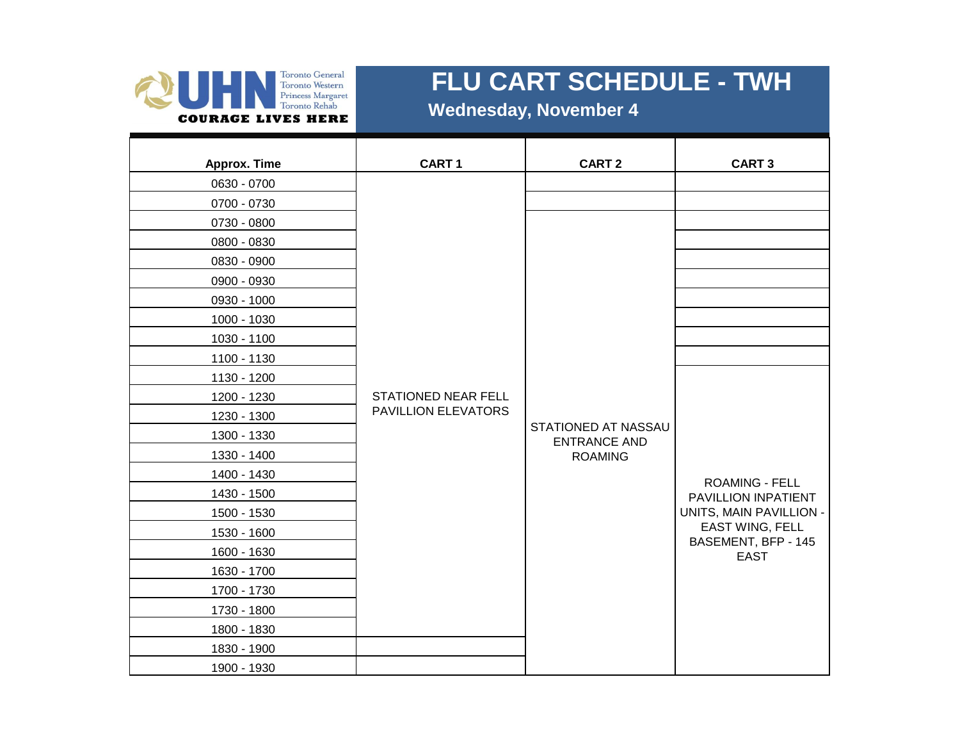

 **Wednesday, November 4**

| Approx. Time | CART <sub>1</sub>   | <b>CART 2</b>                              | <b>CART 3</b>                                |
|--------------|---------------------|--------------------------------------------|----------------------------------------------|
| 0630 - 0700  |                     |                                            |                                              |
| 0700 - 0730  |                     |                                            |                                              |
| 0730 - 0800  |                     |                                            |                                              |
| 0800 - 0830  |                     |                                            |                                              |
| 0830 - 0900  |                     |                                            |                                              |
| 0900 - 0930  |                     |                                            |                                              |
| 0930 - 1000  |                     |                                            |                                              |
| 1000 - 1030  |                     |                                            |                                              |
| 1030 - 1100  |                     |                                            |                                              |
| 1100 - 1130  |                     |                                            |                                              |
| 1130 - 1200  |                     |                                            |                                              |
| 1200 - 1230  | STATIONED NEAR FELL |                                            |                                              |
| 1230 - 1300  | PAVILLION ELEVATORS |                                            |                                              |
| 1300 - 1330  |                     | STATIONED AT NASSAU<br><b>ENTRANCE AND</b> |                                              |
| 1330 - 1400  |                     | <b>ROAMING</b>                             |                                              |
| 1400 - 1430  |                     |                                            |                                              |
| 1430 - 1500  |                     |                                            | <b>ROAMING - FELL</b><br>PAVILLION INPATIENT |
| 1500 - 1530  |                     |                                            | UNITS, MAIN PAVILLION -                      |
| 1530 - 1600  |                     |                                            | <b>EAST WING, FELL</b>                       |
| 1600 - 1630  |                     |                                            | BASEMENT, BFP - 145<br><b>EAST</b>           |
| 1630 - 1700  |                     |                                            |                                              |
| 1700 - 1730  |                     |                                            |                                              |
| 1730 - 1800  |                     |                                            |                                              |
| 1800 - 1830  |                     |                                            |                                              |
| 1830 - 1900  |                     |                                            |                                              |
| 1900 - 1930  |                     |                                            |                                              |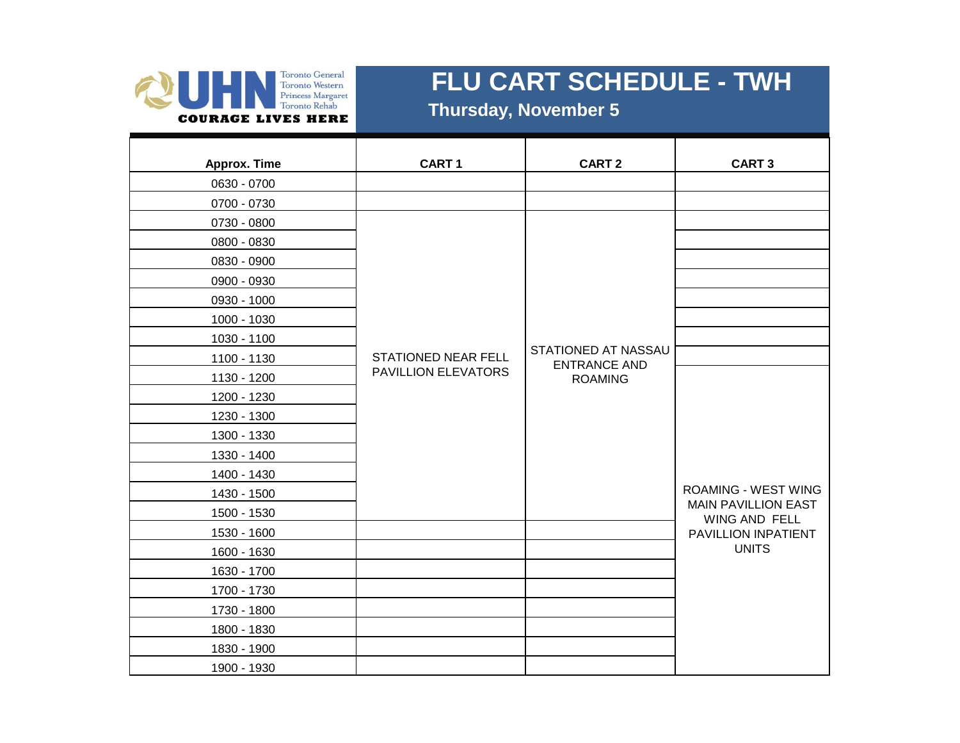

 **Thursday, November 5**

| Approx. Time | CART <sub>1</sub>          | <b>CART 2</b>                              | <b>CART 3</b>                               |
|--------------|----------------------------|--------------------------------------------|---------------------------------------------|
| 0630 - 0700  |                            |                                            |                                             |
| 0700 - 0730  |                            |                                            |                                             |
| 0730 - 0800  |                            |                                            |                                             |
| 0800 - 0830  |                            |                                            |                                             |
| 0830 - 0900  |                            |                                            |                                             |
| 0900 - 0930  |                            |                                            |                                             |
| 0930 - 1000  |                            |                                            |                                             |
| 1000 - 1030  |                            |                                            |                                             |
| 1030 - 1100  |                            |                                            |                                             |
| 1100 - 1130  | <b>STATIONED NEAR FELL</b> | STATIONED AT NASSAU<br><b>ENTRANCE AND</b> |                                             |
| 1130 - 1200  | PAVILLION ELEVATORS        | <b>ROAMING</b>                             |                                             |
| 1200 - 1230  |                            |                                            |                                             |
| 1230 - 1300  |                            |                                            |                                             |
| 1300 - 1330  |                            |                                            |                                             |
| 1330 - 1400  |                            |                                            |                                             |
| 1400 - 1430  |                            |                                            |                                             |
| 1430 - 1500  |                            |                                            | <b>ROAMING - WEST WING</b>                  |
| 1500 - 1530  |                            |                                            | <b>MAIN PAVILLION EAST</b><br>WING AND FELL |
| 1530 - 1600  |                            |                                            | PAVILLION INPATIENT                         |
| 1600 - 1630  |                            |                                            | <b>UNITS</b>                                |
| 1630 - 1700  |                            |                                            |                                             |
| 1700 - 1730  |                            |                                            |                                             |
| 1730 - 1800  |                            |                                            |                                             |
| 1800 - 1830  |                            |                                            |                                             |
| 1830 - 1900  |                            |                                            |                                             |
| 1900 - 1930  |                            |                                            |                                             |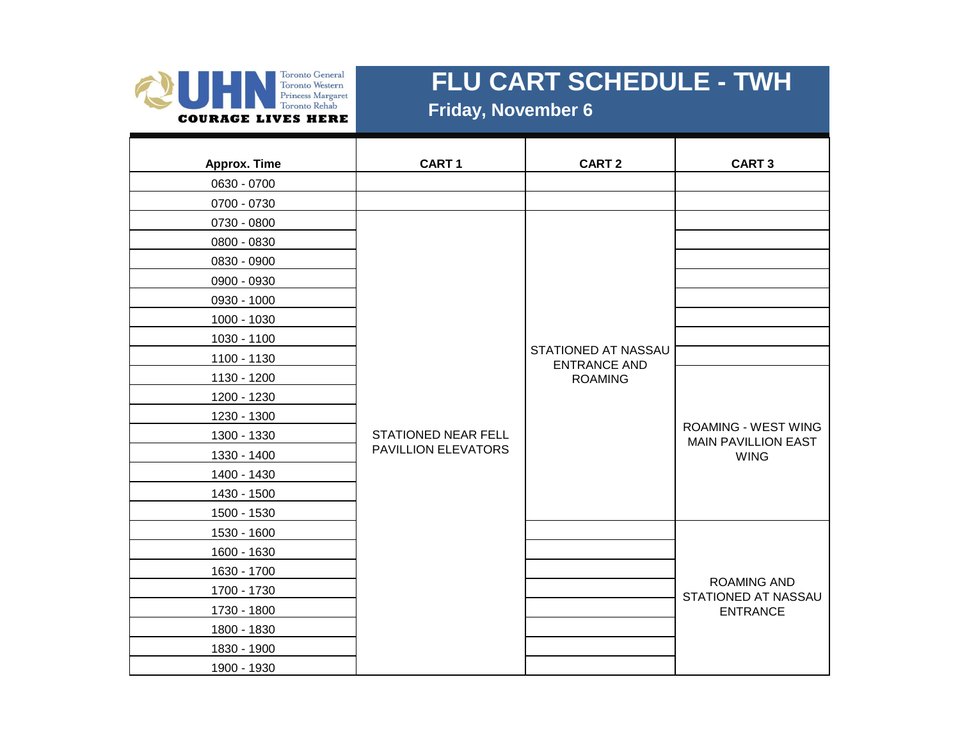

 **Friday, November 6**

| <b>Approx. Time</b> | CART <sub>1</sub>          | <b>CART 2</b>                              | <b>CART 3</b>                                            |
|---------------------|----------------------------|--------------------------------------------|----------------------------------------------------------|
| 0630 - 0700         |                            |                                            |                                                          |
| 0700 - 0730         |                            |                                            |                                                          |
| 0730 - 0800         |                            |                                            |                                                          |
| 0800 - 0830         |                            |                                            |                                                          |
| 0830 - 0900         |                            |                                            |                                                          |
| 0900 - 0930         |                            |                                            |                                                          |
| 0930 - 1000         |                            |                                            |                                                          |
| 1000 - 1030         |                            |                                            |                                                          |
| 1030 - 1100         |                            |                                            |                                                          |
| 1100 - 1130         |                            | STATIONED AT NASSAU<br><b>ENTRANCE AND</b> |                                                          |
| 1130 - 1200         |                            | <b>ROAMING</b>                             |                                                          |
| 1200 - 1230         |                            |                                            |                                                          |
| 1230 - 1300         |                            |                                            |                                                          |
| 1300 - 1330         | <b>STATIONED NEAR FELL</b> |                                            | <b>ROAMING - WEST WING</b><br><b>MAIN PAVILLION EAST</b> |
| 1330 - 1400         | PAVILLION ELEVATORS        |                                            | <b>WING</b>                                              |
| 1400 - 1430         |                            |                                            |                                                          |
| 1430 - 1500         |                            |                                            |                                                          |
| 1500 - 1530         |                            |                                            |                                                          |
| 1530 - 1600         |                            |                                            |                                                          |
| 1600 - 1630         |                            |                                            |                                                          |
| 1630 - 1700         |                            |                                            |                                                          |
| 1700 - 1730         |                            |                                            | <b>ROAMING AND</b><br>STATIONED AT NASSAU                |
| 1730 - 1800         |                            |                                            | <b>ENTRANCE</b>                                          |
| 1800 - 1830         |                            |                                            |                                                          |
| 1830 - 1900         |                            |                                            |                                                          |
| 1900 - 1930         |                            |                                            |                                                          |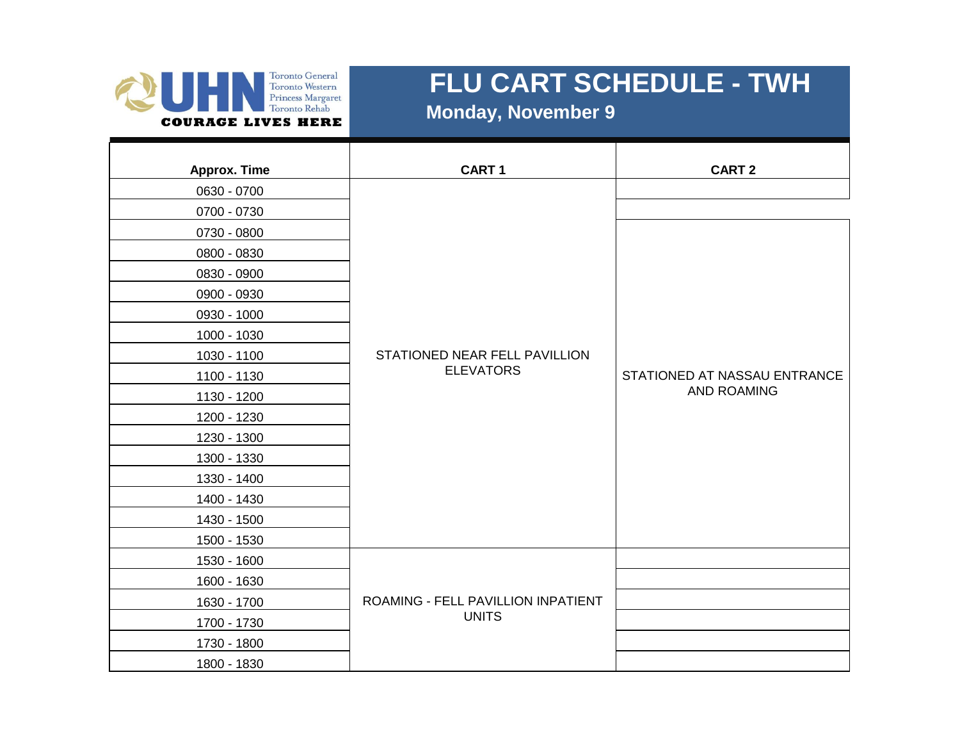

 **Monday, November 9**

| Approx. Time | CART <sub>1</sub>                                 | <b>CART 2</b>                |
|--------------|---------------------------------------------------|------------------------------|
| 0630 - 0700  |                                                   |                              |
| 0700 - 0730  |                                                   |                              |
| 0730 - 0800  |                                                   |                              |
| 0800 - 0830  |                                                   |                              |
| 0830 - 0900  |                                                   |                              |
| 0900 - 0930  |                                                   |                              |
| 0930 - 1000  | STATIONED NEAR FELL PAVILLION<br><b>ELEVATORS</b> |                              |
| 1000 - 1030  |                                                   |                              |
| 1030 - 1100  |                                                   |                              |
| 1100 - 1130  |                                                   | STATIONED AT NASSAU ENTRANCE |
| 1130 - 1200  |                                                   | <b>AND ROAMING</b>           |
| 1200 - 1230  |                                                   |                              |
| 1230 - 1300  |                                                   |                              |
| 1300 - 1330  |                                                   |                              |
| 1330 - 1400  |                                                   |                              |
| 1400 - 1430  |                                                   |                              |
| 1430 - 1500  |                                                   |                              |
| 1500 - 1530  |                                                   |                              |
| 1530 - 1600  |                                                   |                              |
| 1600 - 1630  |                                                   |                              |
| 1630 - 1700  | ROAMING - FELL PAVILLION INPATIENT                |                              |
| 1700 - 1730  | <b>UNITS</b>                                      |                              |
| 1730 - 1800  |                                                   |                              |
| 1800 - 1830  |                                                   |                              |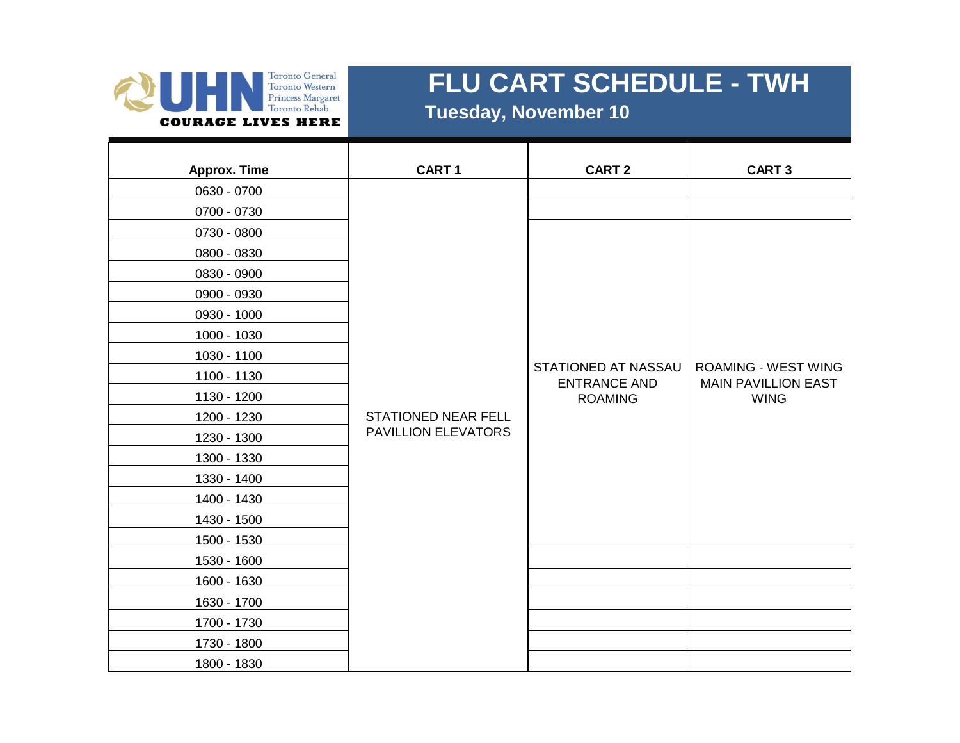

 **Tuesday, November 10**

| <b>Approx. Time</b> | CART <sub>1</sub>          | <b>CART 2</b>                              | <b>CART 3</b>                                            |
|---------------------|----------------------------|--------------------------------------------|----------------------------------------------------------|
| 0630 - 0700         |                            |                                            |                                                          |
| 0700 - 0730         |                            |                                            |                                                          |
| 0730 - 0800         |                            |                                            |                                                          |
| 0800 - 0830         |                            |                                            |                                                          |
| 0830 - 0900         |                            |                                            |                                                          |
| 0900 - 0930         |                            |                                            |                                                          |
| 0930 - 1000         |                            |                                            |                                                          |
| 1000 - 1030         |                            |                                            |                                                          |
| 1030 - 1100         |                            |                                            |                                                          |
| 1100 - 1130         |                            | STATIONED AT NASSAU<br><b>ENTRANCE AND</b> | <b>ROAMING - WEST WING</b><br><b>MAIN PAVILLION EAST</b> |
| 1130 - 1200         |                            | <b>ROAMING</b>                             | <b>WING</b>                                              |
| 1200 - 1230         | <b>STATIONED NEAR FELL</b> |                                            |                                                          |
| 1230 - 1300         | PAVILLION ELEVATORS        |                                            |                                                          |
| 1300 - 1330         |                            |                                            |                                                          |
| 1330 - 1400         |                            |                                            |                                                          |
| 1400 - 1430         |                            |                                            |                                                          |
| 1430 - 1500         |                            |                                            |                                                          |
| 1500 - 1530         |                            |                                            |                                                          |
| 1530 - 1600         |                            |                                            |                                                          |
| 1600 - 1630         |                            |                                            |                                                          |
| 1630 - 1700         |                            |                                            |                                                          |
| 1700 - 1730         |                            |                                            |                                                          |
| 1730 - 1800         |                            |                                            |                                                          |
| 1800 - 1830         |                            |                                            |                                                          |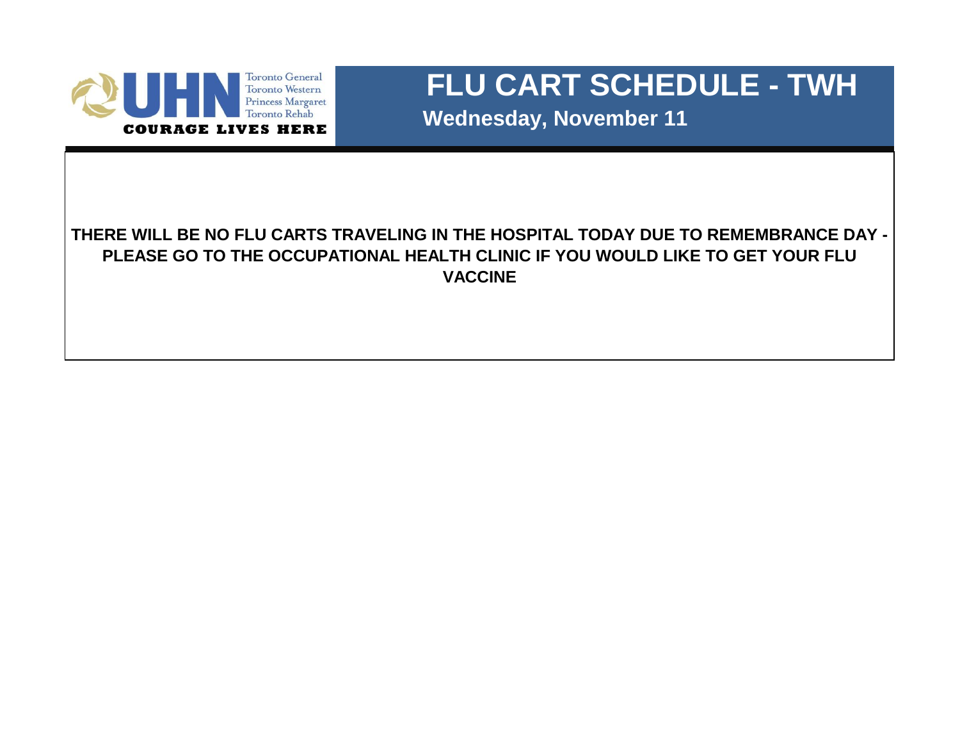

 **Wednesday, November 11**

#### **THERE WILL BE NO FLU CARTS TRAVELING IN THE HOSPITAL TODAY DUE TO REMEMBRANCE DAY - PLEASE GO TO THE OCCUPATIONAL HEALTH CLINIC IF YOU WOULD LIKE TO GET YOUR FLU VACCINE**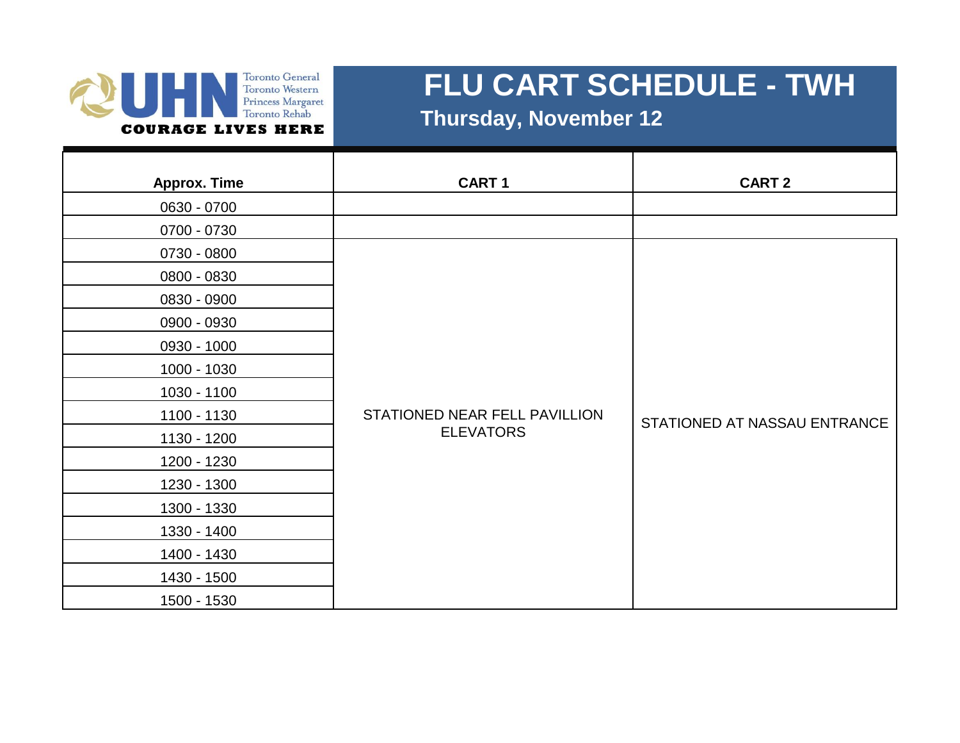#### **Toronto General** Toronto Western Princess Margaret Toronto Rehab **COURAGE LIVES HERE**

# **FLU CART SCHEDULE - TWH**

 **Thursday, November 12**

| <b>Approx. Time</b> | <b>CART1</b>                  | <b>CART 2</b>                |
|---------------------|-------------------------------|------------------------------|
| 0630 - 0700         |                               |                              |
| 0700 - 0730         |                               |                              |
| 0730 - 0800         |                               |                              |
| 0800 - 0830         |                               |                              |
| 0830 - 0900         |                               |                              |
| 0900 - 0930         |                               |                              |
| 0930 - 1000         |                               |                              |
| 1000 - 1030         |                               |                              |
| 1030 - 1100         |                               |                              |
| 1100 - 1130         | STATIONED NEAR FELL PAVILLION | STATIONED AT NASSAU ENTRANCE |
| 1130 - 1200         | <b>ELEVATORS</b>              |                              |
| 1200 - 1230         |                               |                              |
| 1230 - 1300         |                               |                              |
| 1300 - 1330         |                               |                              |
| 1330 - 1400         |                               |                              |
| 1400 - 1430         |                               |                              |
| 1430 - 1500         |                               |                              |
| 1500 - 1530         |                               |                              |